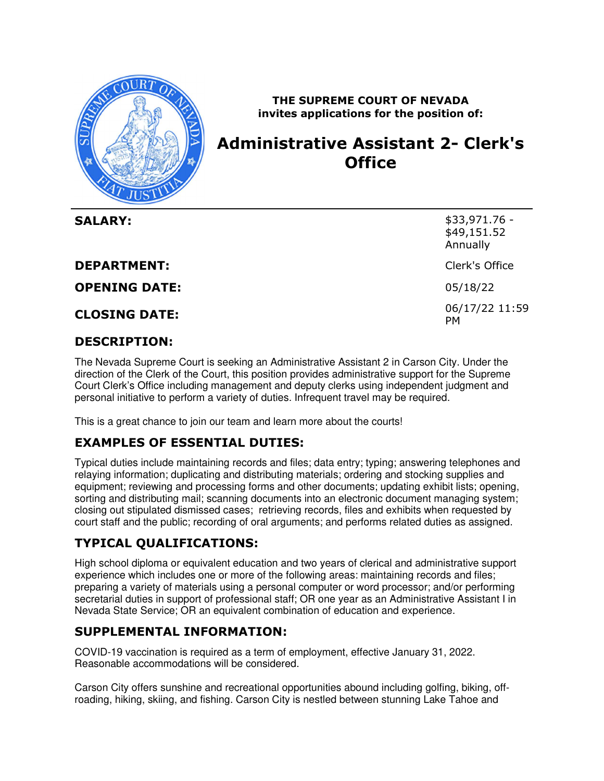

 **THE SUPREME COURT OF NEVADA invites applications for the position of:** 

# **Administrative Assistant 2- Clerk's Office**

| <b>SALARY:</b>       | $$33,971.76 -$<br>\$49,151.52<br>Annually |
|----------------------|-------------------------------------------|
| <b>DEPARTMENT:</b>   | Clerk's Office                            |
| <b>OPENING DATE:</b> | 05/18/22                                  |
| <b>CLOSING DATE:</b> | 06/17/22 11:59<br><b>PM</b>               |

### **DESCRIPTION:**

 The Nevada Supreme Court is seeking an Administrative Assistant 2 in Carson City. Under the direction of the Clerk of the Court, this position provides administrative support for the Supreme Court Clerk's Office including management and deputy clerks using independent judgment and personal initiative to perform a variety of duties. Infrequent travel may be required.

This is a great chance to join our team and learn more about the courts!

## **EXAMPLES OF ESSENTIAL DUTIES:**

 Typical duties include maintaining records and files; data entry; typing; answering telephones and relaying information; duplicating and distributing materials; ordering and stocking supplies and equipment; reviewing and processing forms and other documents; updating exhibit lists; opening, sorting and distributing mail; scanning documents into an electronic document managing system; closing out stipulated dismissed cases; retrieving records, files and exhibits when requested by court staff and the public; recording of oral arguments; and performs related duties as assigned.

## **TYPICAL QUALIFICATIONS:**

 High school diploma or equivalent education and two years of clerical and administrative support experience which includes one or more of the following areas: maintaining records and files; preparing a variety of materials using a personal computer or word processor; and/or performing secretarial duties in support of professional staff; OR one year as an Administrative Assistant I in Nevada State Service; OR an equivalent combination of education and experience.

#### **SUPPLEMENTAL INFORMATION:**

 COVID-19 vaccination is required as a term of employment, effective January 31, 2022. Reasonable accommodations will be considered.

 Carson City offers sunshine and recreational opportunities abound including golfing, biking, off-roading, hiking, skiing, and fishing. Carson City is nestled between stunning Lake Tahoe and